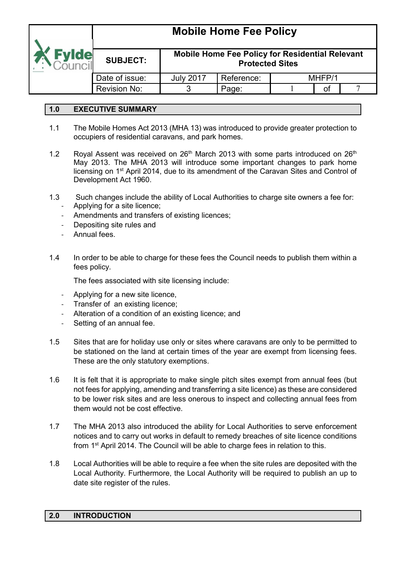

## **Mobile Home Fee Policy for Residential Relevant Protected Sites**

|                     |                  | י וטנטטנטע טונטס |        |  |
|---------------------|------------------|------------------|--------|--|
| Date of issue:      | <b>July 2017</b> | Reference:       | MHEP/1 |  |
| <b>Revision No:</b> |                  | aae:             |        |  |

## **1.0 EXECUTIVE SUMMARY**

- 1.1 The Mobile Homes Act 2013 (MHA 13) was introduced to provide greater protection to occupiers of residential caravans, and park homes.
- 1.2 Royal Assent was received on  $26<sup>th</sup>$  March 2013 with some parts introduced on  $26<sup>th</sup>$ May 2013. The MHA 2013 will introduce some important changes to park home licensing on 1st April 2014, due to its amendment of the Caravan Sites and Control of Development Act 1960.
- 1.3 Such changes include the ability of Local Authorities to charge site owners a fee for:
	- Applying for a site licence;
	- Amendments and transfers of existing licences;
	- Depositing site rules and
	- Annual fees.
- 1.4 In order to be able to charge for these fees the Council needs to publish them within a fees policy.

The fees associated with site licensing include:

- Applying for a new site licence,
- Transfer of an existing licence;
- Alteration of a condition of an existing licence; and
- Setting of an annual fee.
- 1.5 Sites that are for holiday use only or sites where caravans are only to be permitted to be stationed on the land at certain times of the year are exempt from licensing fees. These are the only statutory exemptions.
- 1.6 It is felt that it is appropriate to make single pitch sites exempt from annual fees (but not fees for applying, amending and transferring a site licence) as these are considered to be lower risk sites and are less onerous to inspect and collecting annual fees from them would not be cost effective.
- 1.7 The MHA 2013 also introduced the ability for Local Authorities to serve enforcement notices and to carry out works in default to remedy breaches of site licence conditions from 1st April 2014. The Council will be able to charge fees in relation to this.
- 1.8 Local Authorities will be able to require a fee when the site rules are deposited with the Local Authority. Furthermore, the Local Authority will be required to publish an up to date site register of the rules.

#### **2.0 INTRODUCTION**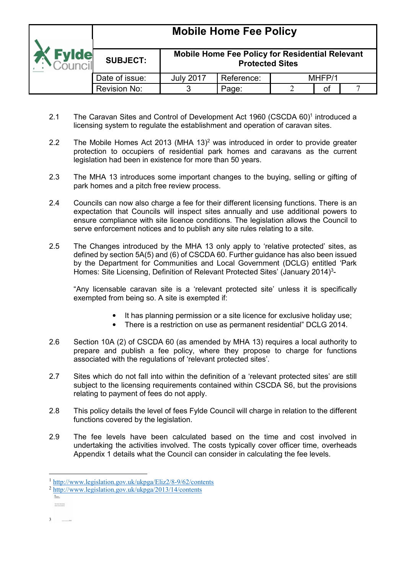|             |                 |                                                                           | <b>Mobile Home Fee Policy</b> |  |        |  |
|-------------|-----------------|---------------------------------------------------------------------------|-------------------------------|--|--------|--|
| <b>vide</b> | <b>SUBJECT:</b> | Mobile Home Fee Policy for Residential Relevant<br><b>Protected Sites</b> |                               |  |        |  |
|             | Date of issue:  | <b>July 2017</b>                                                          | Reference:                    |  | MHFP/1 |  |
|             | Revision No:    |                                                                           | Page:                         |  | οt     |  |

- 2.1 The Caravan Sites and Control of Development Act 1960 (CSCDA 60)<sup>1</sup> introduced a licensing system to regulate the establishment and operation of caravan sites.
- 2.2 The Mobile Homes Act 2013 (MHA  $13)^2$  was introduced in order to provide greater protection to occupiers of residential park homes and caravans as the current legislation had been in existence for more than 50 years.
- 2.3 The MHA 13 introduces some important changes to the buying, selling or gifting of park homes and a pitch free review process.
- 2.4 Councils can now also charge a fee for their different licensing functions. There is an expectation that Councils will inspect sites annually and use additional powers to ensure compliance with site licence conditions. The legislation allows the Council to serve enforcement notices and to publish any site rules relating to a site.
- 2.5 The Changes introduced by the MHA 13 only apply to 'relative protected' sites, as defined by section 5A(5) and (6) of CSCDA 60. Further guidance has also been issued by the Department for Communities and Local Government (DCLG) entitled 'Park Homes: Site Licensing, Definition of Relevant Protected Sites' (January 2014)<sup>3</sup>-

"Any licensable caravan site is a 'relevant protected site' unless it is specifically exempted from being so. A site is exempted if:

- It has planning permission or a site licence for exclusive holiday use;
- There is a restriction on use as permanent residential" DCLG 2014.
- 2.6 Section 10A (2) of CSCDA 60 (as amended by MHA 13) requires a local authority to prepare and publish a fee policy, where they propose to charge for functions associated with the regulations of 'relevant protected sites'.
- 2.7 Sites which do not fall into within the definition of a 'relevant protected sites' are still subject to the licensing requirements contained within CSCDA S6, but the provisions relating to payment of fees do not apply.
- 2.8 This policy details the level of fees Fylde Council will charge in relation to the different functions covered by the legislation.
- 2.9 The fee levels have been calculated based on the time and cost involved in undertaking the activities involved. The costs typically cover officer time, overheads Appendix 1 details what the Council can consider in calculating the fee levels.

3

<sup>&</sup>lt;u>.</u> <sup>1</sup> <http://www.legislation.gov.uk/ukpga/Eliz2/8-9/62/contents>

<sup>2</sup> <http://www.legislation.gov.uk/ukpga/2013/14/contents>  $\frac{\Theta}{\Omega(1+\Omega)}$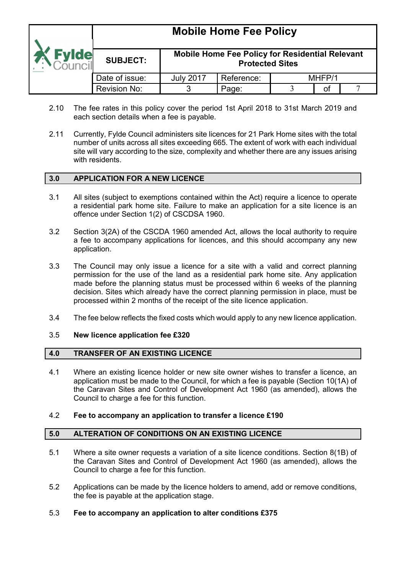## **Mobile Home Fee Policy SUBJECT: Mobile Home Fee Policy for Residential Relevant Protected Sites**  Date of issue:  $\vert$  July 2017 | Reference:  $\vert$  MHFP/1 Revision No: 3 Page: 3 of 7

- 2.10 The fee rates in this policy cover the period 1st April 2018 to 31st March 2019 and each section details when a fee is payable.
- 2.11 Currently, Fylde Council administers site licences for 21 Park Home sites with the total number of units across all sites exceeding 665. The extent of work with each individual site will vary according to the size, complexity and whether there are any issues arising with residents.

## **3.0 APPLICATION FOR A NEW LICENCE**

- 3.1 All sites (subject to exemptions contained within the Act) require a licence to operate a residential park home site. Failure to make an application for a site licence is an offence under Section 1(2) of CSCDSA 1960.
- 3.2 Section 3(2A) of the CSCDA 1960 amended Act, allows the local authority to require a fee to accompany applications for licences, and this should accompany any new application.
- 3.3 The Council may only issue a licence for a site with a valid and correct planning permission for the use of the land as a residential park home site. Any application made before the planning status must be processed within 6 weeks of the planning decision. Sites which already have the correct planning permission in place, must be processed within 2 months of the receipt of the site licence application.
- 3.4 The fee below reflects the fixed costs which would apply to any new licence application.

#### 3.5 **New licence application fee £320**

#### **4.0 TRANSFER OF AN EXISTING LICENCE**

4.1 Where an existing licence holder or new site owner wishes to transfer a licence, an application must be made to the Council, for which a fee is payable (Section 10(1A) of the Caravan Sites and Control of Development Act 1960 (as amended), allows the Council to charge a fee for this function.

#### 4.2 **Fee to accompany an application to transfer a licence £190**

#### **5.0 ALTERATION OF CONDITIONS ON AN EXISTING LICENCE**

- 5.1 Where a site owner requests a variation of a site licence conditions. Section 8(1B) of the Caravan Sites and Control of Development Act 1960 (as amended), allows the Council to charge a fee for this function.
- 5.2 Applications can be made by the licence holders to amend, add or remove conditions, the fee is payable at the application stage.

#### 5.3 **Fee to accompany an application to alter conditions £375**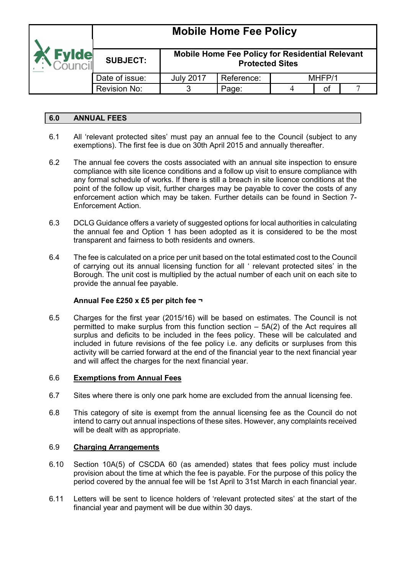|              | <b>Mobile Home Fee Policy</b> |                                                                                  |            |  |        |  |  |
|--------------|-------------------------------|----------------------------------------------------------------------------------|------------|--|--------|--|--|
| <b>Evide</b> | <b>SUBJECT:</b>               | <b>Mobile Home Fee Policy for Residential Relevant</b><br><b>Protected Sites</b> |            |  |        |  |  |
|              | Date of issue:                |                                                                                  | Reference: |  | MHFP/1 |  |  |
|              | Revision No:<br>Page:         |                                                                                  |            |  | οt     |  |  |

## **6.0 ANNUAL FEES**

- 6.1 All 'relevant protected sites' must pay an annual fee to the Council (subject to any exemptions). The first fee is due on 30th April 2015 and annually thereafter.
- 6.2 The annual fee covers the costs associated with an annual site inspection to ensure compliance with site licence conditions and a follow up visit to ensure compliance with any formal schedule of works. If there is still a breach in site licence conditions at the point of the follow up visit, further charges may be payable to cover the costs of any enforcement action which may be taken. Further details can be found in Section 7- Enforcement Action.
- 6.3 DCLG Guidance offers a variety of suggested options for local authorities in calculating the annual fee and Option 1 has been adopted as it is considered to be the most transparent and fairness to both residents and owners.
- 6.4 The fee is calculated on a price per unit based on the total estimated cost to the Council of carrying out its annual licensing function for all ' relevant protected sites' in the Borough. The unit cost is multiplied by the actual number of each unit on each site to provide the annual fee payable.

## **Annual Fee £250 x £5 per pitch fee ¬**

6.5 Charges for the first year (2015/16) will be based on estimates. The Council is not permitted to make surplus from this function section – 5A(2) of the Act requires all surplus and deficits to be included in the fees policy. These will be calculated and included in future revisions of the fee policy i.e. any deficits or surpluses from this activity will be carried forward at the end of the financial year to the next financial year and will affect the charges for the next financial year.

#### 6.6 **Exemptions from Annual Fees**

- 6.7 Sites where there is only one park home are excluded from the annual licensing fee.
- 6.8 This category of site is exempt from the annual licensing fee as the Council do not intend to carry out annual inspections of these sites. However, any complaints received will be dealt with as appropriate.

#### 6.9 **Charging Arrangements**

- 6.10 Section 10A(5) of CSCDA 60 (as amended) states that fees policy must include provision about the time at which the fee is payable. For the purpose of this policy the period covered by the annual fee will be 1st April to 31st March in each financial year.
- 6.11 Letters will be sent to licence holders of 'relevant protected sites' at the start of the financial year and payment will be due within 30 days.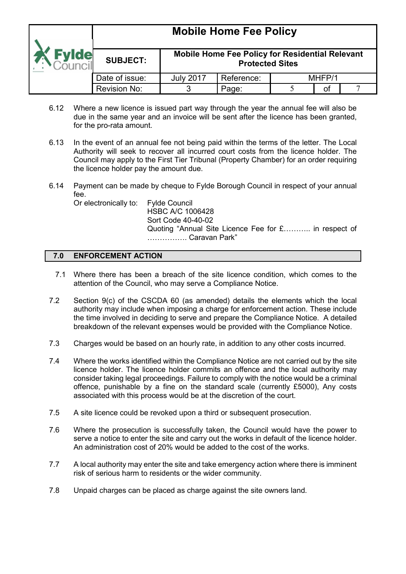|              | <b>THOMAS LIGHTS L SG L GIRLY</b> |                                                                                  |            |  |        |  |  |  |  |
|--------------|-----------------------------------|----------------------------------------------------------------------------------|------------|--|--------|--|--|--|--|
| <b>Evide</b> | <b>SUBJECT:</b>                   | <b>Mobile Home Fee Policy for Residential Relevant</b><br><b>Protected Sites</b> |            |  |        |  |  |  |  |
|              | Date of issue:                    | <b>July 2017</b>                                                                 | Reference: |  | MHFP/1 |  |  |  |  |
|              | Revision No:                      |                                                                                  | Page:      |  | οt     |  |  |  |  |

- 6.12 Where a new licence is issued part way through the year the annual fee will also be due in the same year and an invoice will be sent after the licence has been granted, for the pro-rata amount.
- 6.13 In the event of an annual fee not being paid within the terms of the letter. The Local Authority will seek to recover all incurred court costs from the licence holder. The Council may apply to the First Tier Tribunal (Property Chamber) for an order requiring the licence holder pay the amount due.
- 6.14 Payment can be made by cheque to Fylde Borough Council in respect of your annual fee.

Or electronically to: Fylde Council

HSBC A/C 1006428 Sort Code 40-40-02 Quoting "Annual Site Licence Fee for £........... in respect of **Caravan Park"** 

## **7.0 ENFORCEMENT ACTION**

- 7.1 Where there has been a breach of the site licence condition, which comes to the attention of the Council, who may serve a Compliance Notice.
- 7.2 Section 9(c) of the CSCDA 60 (as amended) details the elements which the local authority may include when imposing a charge for enforcement action. These include the time involved in deciding to serve and prepare the Compliance Notice. A detailed breakdown of the relevant expenses would be provided with the Compliance Notice.
- 7.3 Charges would be based on an hourly rate, in addition to any other costs incurred.
- 7.4 Where the works identified within the Compliance Notice are not carried out by the site licence holder. The licence holder commits an offence and the local authority may consider taking legal proceedings. Failure to comply with the notice would be a criminal offence, punishable by a fine on the standard scale (currently £5000), Any costs associated with this process would be at the discretion of the court.
- 7.5 A site licence could be revoked upon a third or subsequent prosecution.
- 7.6 Where the prosecution is successfully taken, the Council would have the power to serve a notice to enter the site and carry out the works in default of the licence holder. An administration cost of 20% would be added to the cost of the works.
- 7.7 A local authority may enter the site and take emergency action where there is imminent risk of serious harm to residents or the wider community.
- 7.8 Unpaid charges can be placed as charge against the site owners land.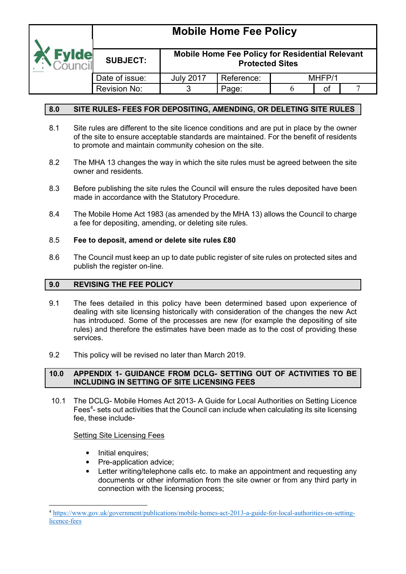

#### **Mobile Home Fee Policy for Residential Relevant Protected Sites**

| Date of issue:      | <b>July 2017</b> | Reference: |  | MHEP/1 |  |  |  |
|---------------------|------------------|------------|--|--------|--|--|--|
| <b>Revision No:</b> | Page:            |            |  |        |  |  |  |

## **8.0 SITE RULES- FEES FOR DEPOSITING, AMENDING, OR DELETING SITE RULES**

- 8.1 Site rules are different to the site licence conditions and are put in place by the owner of the site to ensure acceptable standards are maintained. For the benefit of residents to promote and maintain community cohesion on the site.
- 8.2 The MHA 13 changes the way in which the site rules must be agreed between the site owner and residents.
- 8.3 Before publishing the site rules the Council will ensure the rules deposited have been made in accordance with the Statutory Procedure.
- 8.4 The Mobile Home Act 1983 (as amended by the MHA 13) allows the Council to charge a fee for depositing, amending, or deleting site rules.

#### 8.5 **Fee to deposit, amend or delete site rules £80**

8.6 The Council must keep an up to date public register of site rules on protected sites and publish the register on-line.

## **9.0 REVISING THE FEE POLICY**

- 9.1 The fees detailed in this policy have been determined based upon experience of dealing with site licensing historically with consideration of the changes the new Act has introduced. Some of the processes are new (for example the depositing of site rules) and therefore the estimates have been made as to the cost of providing these services.
- 9.2 This policy will be revised no later than March 2019.

#### **10.0 APPENDIX 1- GUIDANCE FROM DCLG- SETTING OUT OF ACTIVITIES TO BE INCLUDING IN SETTING OF SITE LICENSING FEES**

 10.1 The DCLG- Mobile Homes Act 2013- A Guide for Local Authorities on Setting Licence Fees<sup>4</sup>- sets out activities that the Council can include when calculating its site licensing fee, these include-

## Setting Site Licensing Fees

- Initial enquires;
- Pre-application advice;
- Letter writing/telephone calls etc. to make an appointment and requesting any documents or other information from the site owner or from any third party in connection with the licensing process;

<sup>&</sup>lt;u>.</u> <sup>4</sup> [https://www.gov.uk/government/publications/mobile-homes-act-2013-a-guide-for-local-authorities-on-setting](https://www.gov.uk/government/publications/mobile-homes-act-2013-a-guide-for-local-authorities-on-setting-licence-fees)licence-fees